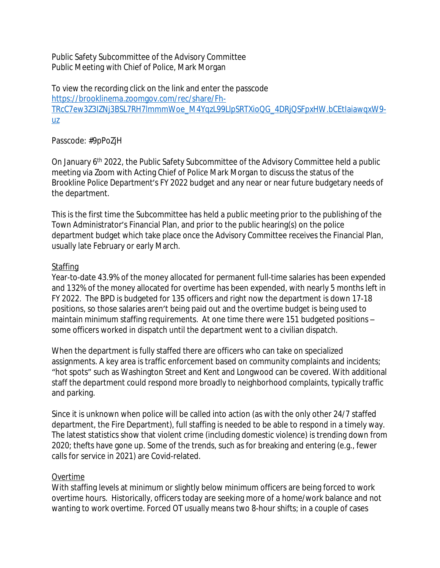Public Safety Subcommittee of the Advisory Committee Public Meeting with Chief of Police, Mark Morgan

To view the recording click on the link and enter the passcode [https://brooklinema.zoomgov.com/rec/share/Fh-](https://protect-us.mimecast.com/s/eW1_CrkM95uX8n1VFzRFZ3?domain=brooklinema.zoomgov.com)TRcC7ew3Z3IZNj3BSL7RH7lmmmWoe\_M4YqzL99LlpSRTXioQG\_4DRjQSFpxHW.bCEtIaiawqxW9 uz

## Passcode: #9pPoZjH

On January 6<sup>th</sup> 2022, the Public Safety Subcommittee of the Advisory Committee held a public meeting via Zoom with Acting Chief of Police Mark Morgan to discuss the status of the Brookline Police Department's FY 2022 budget and any near or near future budgetary needs of the department.

This is the first time the Subcommittee has held a public meeting prior to the publishing of the Town Administrator's Financial Plan, and prior to the public hearing(s) on the police department budget which take place once the Advisory Committee receives the Financial Plan, usually late February or early March.

## **Staffing**

Year-to-date 43.9% of the money allocated for permanent full-time salaries has been expended and 132% of the money allocated for overtime has been expended, with nearly 5 months left in FY 2022. The BPD is budgeted for 135 officers and right now the department is down 17-18 positions, so those salaries aren't being paid out and the overtime budget is being used to maintain minimum staffing requirements. At one time there were 151 budgeted positions – some officers worked in dispatch until the department went to a civilian dispatch.

When the department is fully staffed there are officers who can take on specialized assignments. A key area is traffic enforcement based on community complaints and incidents; "hot spots" such as Washington Street and Kent and Longwood can be covered. With additional staff the department could respond more broadly to neighborhood complaints, typically traffic and parking.

Since it is unknown when police will be called into action (as with the only other 24/7 staffed department, the Fire Department), full staffing is needed to be able to respond in a timely way. The latest statistics show that violent crime (including domestic violence) is trending down from 2020; thefts have gone up. Some of the trends, such as for breaking and entering (e.g., fewer calls for service in 2021) are Covid-related.

#### Overtime

With staffing levels at minimum or slightly below minimum officers are being forced to work overtime hours. Historically, officers today are seeking more of a home/work balance and not wanting to work overtime. Forced OT usually means two 8-hour shifts; in a couple of cases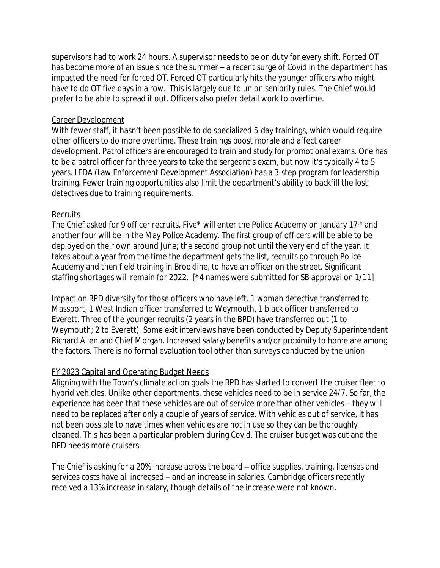supervisors had to work 24 hours. A supervisor needs to be on duty for every shift. Forced OT has become more of an issue since the summer – a recent surge of Covid in the department has impacted the need for forced OT. Forced OT particularly hits the younger officers who might have to do OT five days in a row. This is largely due to union seniority rules. The Chief would prefer to be able to spread it out. Officers also prefer detail work to overtime.

### Career Development

With fewer staff, it hasn't been possible to do specialized 5-day trainings, which would require other officers to do more overtime. These trainings boost morale and affect career development. Patrol officers are encouraged to train and study for promotional exams. One has to be a patrol officer for three years to take the sergeant's exam, but now it's typically 4 to 5 years. LEDA (Law Enforcement Development Association) has a 3-step program for leadership training. Fewer training opportunities also limit the department's ability to backfill the lost detectives due to training requirements.

## Recruits

The Chief asked for 9 officer recruits. Five\* will enter the Police Academy on January 17<sup>th</sup> and another four will be in the May Police Academy. The first group of officers will be able to be deployed on their own around June; the second group not until the very end of the year. It takes about a year from the time the department gets the list, recruits go through Police Academy and then field training in Brookline, to have an officer on the street. Significant staffing shortages will remain for 2022. [\*4 names were submitted for SB approval on 1/11]

Impact on BPD diversity for those officers who have left. 1 woman detective transferred to Massport, 1 West Indian officer transferred to Weymouth, 1 black officer transferred to Everett. Three of the younger recruits (2 years in the BPD) have transferred out (1 to Weymouth; 2 to Everett). Some exit interviews have been conducted by Deputy Superintendent Richard Allen and Chief Morgan. Increased salary/benefits and/or proximity to home are among the factors. There is no formal evaluation tool other than surveys conducted by the union.

# FY 2023 Capital and Operating Budget Needs

Aligning with the Town's climate action goals the BPD has started to convert the cruiser fleet to hybrid vehicles. Unlike other departments, these vehicles need to be in service 24/7. So far, the experience has been that these vehicles are out of service more than other vehicles – they will need to be replaced after only a couple of years of service. With vehicles out of service, it has not been possible to have times when vehicles are not in use so they can be thoroughly cleaned. This has been a particular problem during Covid. The cruiser budget was cut and the BPD needs more cruisers.

The Chief is asking for a 20% increase across the board – office supplies, training, licenses and services costs have all increased – and an increase in salaries. Cambridge officers recently received a 13% increase in salary, though details of the increase were not known.